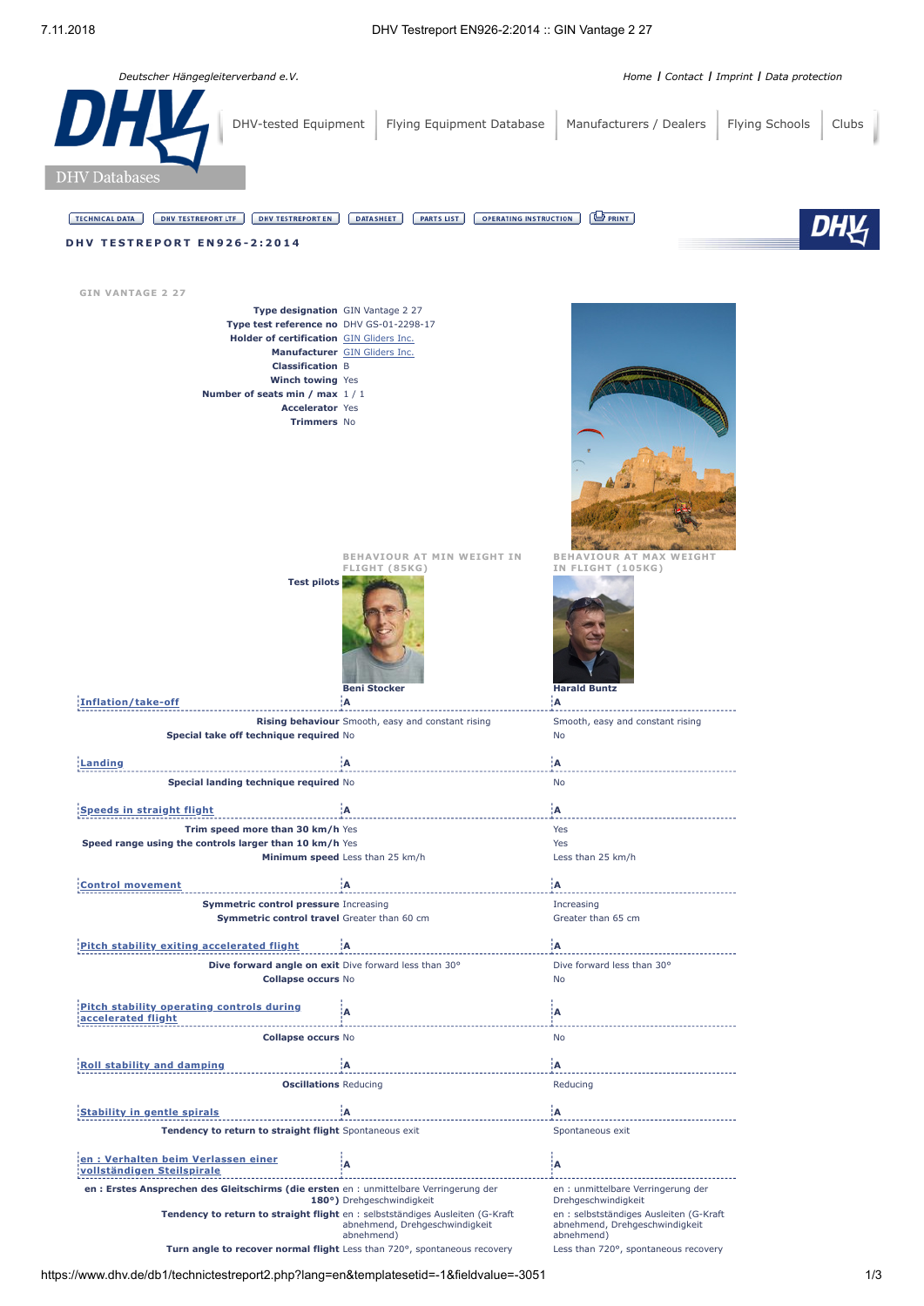*Deutscher Hängegleiterverband e.V. [Home](https://www.dhv.de/) I [Contact](https://www.dhv.de/kontakt/) I [Imprint](https://www.dhv.de/impressum/) I [Data protection](https://www.dhv.de/datenschutz/)* [DHV-tested Equipment](https://www.dhv.de/db1/technicsearchpage.php?lang=EN) | [Flying Equipment Database](https://www.dhv.de/db3/muster) | [Manufacturers / Dealers](https://www.dhv.de/db1/addressessearchpage.php?addressestype=technic&lang=EN) | [Flying Schools](https://www.dhv.de/db1/addressessearchpage.php?addressestype=school&flagselected=98&lang=EN) | [Clubs](https://www.dhv.de/db1/addressessearchpage.php?addressestype=club&lang=EN) **DHV** Databases TECHNICAL DATA | DHV TESTREPORT LTF | DHV TESTREPORT EN | DATASHEET | PARTS LIST | OPERATING INSTRUCTION | PRINT | **D H V T E S T R E P O R T E N 9 2 6 - 2 : 2 0 1 4 GIN VANTAGE 2 27 Type designation** GIN Vantage 2 27 **Type test reference no** DHV GS-01-2298-17 **Holder of certification** GIN [Gliders](https://www.dhv.de/db1/addressdatareport.php?templatesetid=-1&lang=EN&numidaddress=4690) Inc. **Manufacturer** GIN [Gliders](https://www.dhv.de/db1/addressdatareport.php?templatesetid=-1&lang=EN&numidaddress=4690) Inc. **Classification** B **Winch towing** Yes **Number of seats min / max** 1 / 1 **Accelerator** Yes **Trimmers** No **BEHAVIOUR AT MIN WEIGHT IN BEHAVIOUR AT MAX WEIGHT IN FLIGHT (105KG) FLIGHT (85KG) Test pilots Beni Stocker Harald Buntz [Inflation/take-off](javascript:void(0);) A A Rising behaviour** Smooth, easy and constant rising Smooth, easy and constant rising **Special take off technique required** No No No No No **[Landing](javascript:void(0);) A A Special landing technique required** No No No **Speeds in [straight](javascript:void(0);) flight A A Trim speed more than 30 km/h** Yes Yes Yes Yes **Speed range using the controls larger than 10 km/h Yes Theory of Speed range of Yes** Yes **Minimum speed** Less than 25 km/h Less than 25 km/h **Control [movement](javascript:void(0);) A A Symmetric control pressure** Increasing **Increasing Increasing Symmetric control travel** Greater than 60 cm Greater than 65 cm **Pitch stability exiting [accelerated](javascript:void(0);) flight A A Dive forward angle on exit** Dive forward less than 30° Dive forward less than 30° **Collapse occurs** No No **Pitch stability operating controls during [accelerated](javascript:void(0);) flight <sup>A</sup> <sup>A</sup> Collapse occurs** No No **Roll stability and [damping](javascript:void(0);) A A Oscillations** Reducing **Reducing** Reducing **[Stability](javascript:void(0);) in gentle spirals A A Tendency to return to straight flight** Spontaneous exit Spontaneous exit Spontaneous exit **en : Verhalten beim Verlassen einer [vollständigen](javascript:void(0);) Steilspirale <sup>A</sup> <sup>A</sup>** en : unmittelbare Verringerung der **en : Erstes Ansprechen des Gleitschirms (die ersten** en : unmittelbare Verringerung der<br>**180°)** Drehgeschwindigkeit Drehgeschwindigkeit **Tendency to return to straight flight** en : selbstständiges Ausleiten (G-Kraft en : selbstständiges Ausleiten (G-Kraft

https://www.dhv.de/db1/technictestreport2.php?lang=en&templatesetid=-1&fieldvalue=-3051 1/3

abnehmend, Drehgeschwindigkeit abnehmend)

**Turn angle to recover normal flight** Less than 720°, spontaneous recovery Less than 720°, spontaneous recovery

abnehmend, Drehgeschwindigkeit

abnehmend)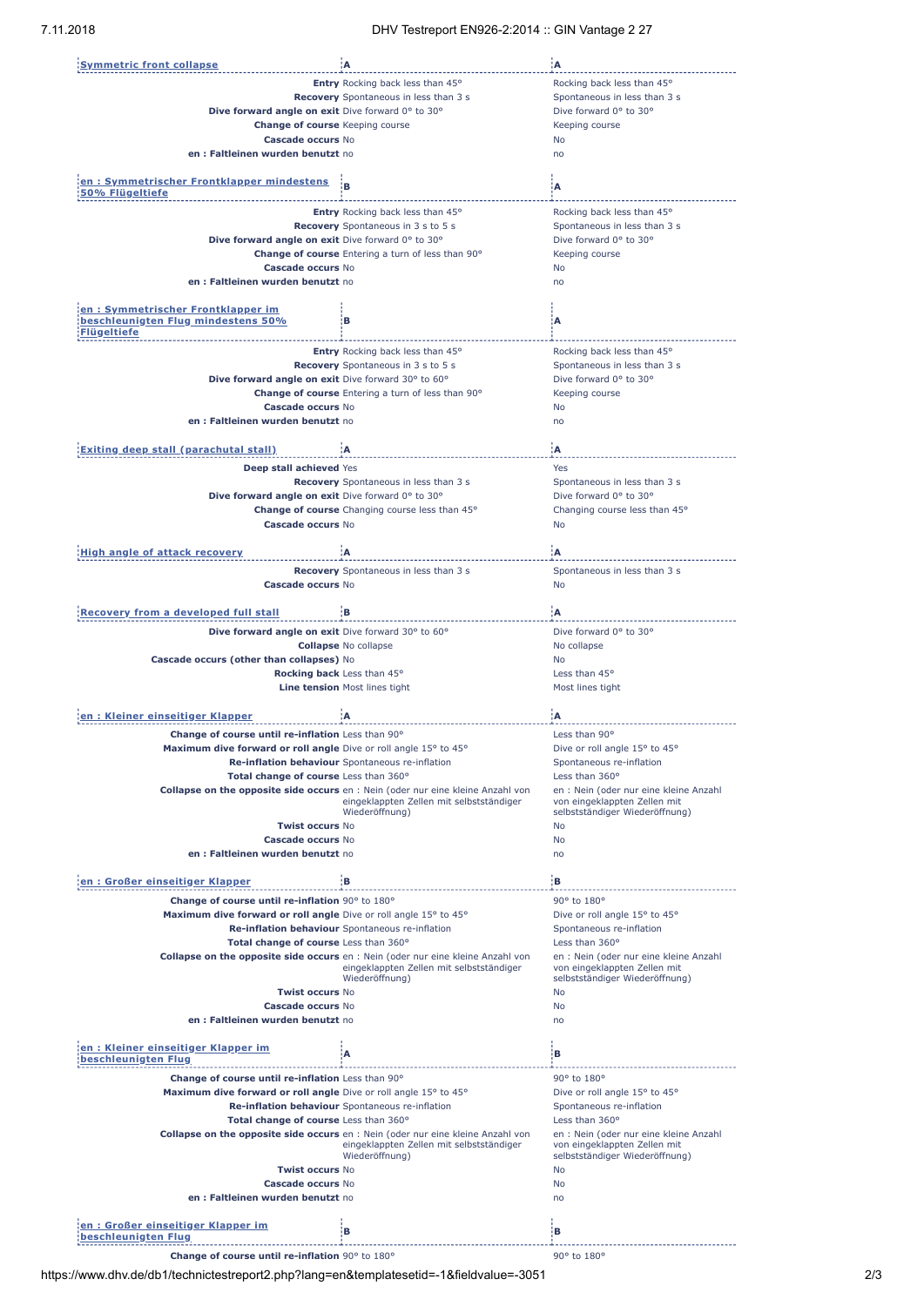| <b>Symmetric front collapse</b>                                  | :A                                                                                     | Α                                      |
|------------------------------------------------------------------|----------------------------------------------------------------------------------------|----------------------------------------|
|                                                                  |                                                                                        |                                        |
|                                                                  | Entry Rocking back less than 45°                                                       | Rocking back less than 45°             |
|                                                                  | Recovery Spontaneous in less than 3 s                                                  | Spontaneous in less than 3 s           |
| Dive forward angle on exit Dive forward 0° to 30°                |                                                                                        | Dive forward 0° to 30°                 |
| <b>Change of course</b> Keeping course                           |                                                                                        | Keeping course                         |
|                                                                  |                                                                                        |                                        |
| Cascade occurs No                                                |                                                                                        | <b>No</b>                              |
| en: Faltleinen wurden benutzt no                                 |                                                                                        | no                                     |
|                                                                  |                                                                                        |                                        |
| en: Symmetrischer Frontklapper mindestens                        |                                                                                        |                                        |
| 50% Flügeltiefe                                                  | в                                                                                      | ίA                                     |
|                                                                  |                                                                                        |                                        |
|                                                                  | Entry Rocking back less than 45°                                                       | Rocking back less than 45°             |
|                                                                  | <b>Recovery</b> Spontaneous in 3 s to 5 s                                              | Spontaneous in less than 3 s           |
|                                                                  |                                                                                        | Dive forward 0° to 30°                 |
| Dive forward angle on exit Dive forward 0° to 30°                |                                                                                        |                                        |
|                                                                  | Change of course Entering a turn of less than 90°                                      | Keeping course                         |
| Cascade occurs No                                                |                                                                                        | <b>No</b>                              |
| en: Faltleinen wurden benutzt no                                 |                                                                                        | no                                     |
|                                                                  |                                                                                        |                                        |
|                                                                  |                                                                                        |                                        |
| en: Symmetrischer Frontklapper im                                |                                                                                        |                                        |
| beschleunigten Flug mindestens 50%                               | в                                                                                      | А                                      |
| Flügeltiefe                                                      |                                                                                        |                                        |
|                                                                  | Entry Rocking back less than 45°                                                       | Rocking back less than 45°             |
|                                                                  |                                                                                        |                                        |
|                                                                  | Recovery Spontaneous in 3 s to 5 s                                                     | Spontaneous in less than 3 s           |
| Dive forward angle on exit Dive forward 30° to 60°               |                                                                                        | Dive forward 0° to 30°                 |
|                                                                  | Change of course Entering a turn of less than 90°                                      | Keeping course                         |
|                                                                  |                                                                                        |                                        |
| <b>Cascade occurs No</b>                                         |                                                                                        | No                                     |
| en: Faltleinen wurden benutzt no                                 |                                                                                        | no                                     |
|                                                                  |                                                                                        |                                        |
| <b>Exiting deep stall (parachutal stall)</b>                     | Α                                                                                      | Α                                      |
|                                                                  |                                                                                        |                                        |
| Deep stall achieved Yes                                          |                                                                                        | Yes                                    |
|                                                                  | <b>Recovery</b> Spontaneous in less than 3 s                                           | Spontaneous in less than 3 s           |
| Dive forward angle on exit Dive forward 0° to 30°                |                                                                                        | Dive forward 0° to 30°                 |
|                                                                  |                                                                                        |                                        |
|                                                                  | Change of course Changing course less than 45°                                         | Changing course less than 45°          |
| Cascade occurs No                                                |                                                                                        | <b>No</b>                              |
|                                                                  |                                                                                        |                                        |
| <b>High angle of attack recovery</b>                             | :A                                                                                     | ۱A.                                    |
|                                                                  |                                                                                        |                                        |
|                                                                  | Recovery Spontaneous in less than 3 s                                                  | Spontaneous in less than 3 s           |
| Cascade occurs No                                                |                                                                                        | <b>No</b>                              |
|                                                                  |                                                                                        |                                        |
|                                                                  |                                                                                        |                                        |
| <b>Recovery from a developed full stall</b>                      | łВ.                                                                                    | 'A                                     |
|                                                                  |                                                                                        | Dive forward 0° to 30°                 |
| Dive forward angle on exit Dive forward 30° to 60°               |                                                                                        |                                        |
|                                                                  | <b>Collapse No collapse</b>                                                            | No collapse                            |
| Cascade occurs (other than collapses) No                         |                                                                                        | <b>No</b>                              |
|                                                                  |                                                                                        | Less than 45°                          |
|                                                                  |                                                                                        |                                        |
|                                                                  | Rocking back Less than 45°                                                             |                                        |
|                                                                  | Line tension Most lines tight                                                          | Most lines tight                       |
|                                                                  |                                                                                        |                                        |
| en : Kleiner einseitiger Klapper                                 | A                                                                                      | ÷Δ                                     |
|                                                                  |                                                                                        |                                        |
| Change of course until re-inflation Less than 90°                |                                                                                        | Less than 90°                          |
| Maximum dive forward or roll angle Dive or roll angle 15° to 45° |                                                                                        | Dive or roll angle 15° to 45°          |
|                                                                  | Re-inflation behaviour Spontaneous re-inflation                                        | Spontaneous re-inflation               |
|                                                                  |                                                                                        |                                        |
| Total change of course Less than 360°                            |                                                                                        | Less than 360°                         |
|                                                                  | <b>Collapse on the opposite side occurs</b> en : Nein (oder nur eine kleine Anzahl von | en : Nein (oder nur eine kleine Anzahl |
|                                                                  | eingeklappten Zellen mit selbstständiger                                               | von eingeklappten Zellen mit           |
|                                                                  | Wiederöffnung)                                                                         | selbstständiger Wiederöffnung)         |
| <b>Twist occurs No</b>                                           |                                                                                        | No                                     |
| Cascade occurs No                                                |                                                                                        | <b>No</b>                              |
| en : Faltleinen wurden benutzt no                                |                                                                                        | no                                     |
|                                                                  |                                                                                        |                                        |
|                                                                  |                                                                                        |                                        |
| en: Großer einseitiger Klapper                                   | įВ.                                                                                    | įв.                                    |
| Change of course until re-inflation 90° to 180°                  |                                                                                        | 90° to 180°                            |
| Maximum dive forward or roll angle Dive or roll angle 15° to 45° |                                                                                        | Dive or roll angle 15° to 45°          |
|                                                                  |                                                                                        |                                        |
|                                                                  | Re-inflation behaviour Spontaneous re-inflation                                        | Spontaneous re-inflation               |
| Total change of course Less than 360°                            |                                                                                        | Less than 360°                         |
|                                                                  | <b>Collapse on the opposite side occurs</b> en : Nein (oder nur eine kleine Anzahl von | en : Nein (oder nur eine kleine Anzahl |
|                                                                  | eingeklappten Zellen mit selbstständiger                                               | von eingeklappten Zellen mit           |
|                                                                  | Wiederöffnung)                                                                         | selbstständiger Wiederöffnung)         |
| <b>Twist occurs No</b>                                           |                                                                                        | No                                     |
| Cascade occurs No                                                |                                                                                        | No                                     |
|                                                                  |                                                                                        |                                        |
| en: Faltleinen wurden benutzt no                                 |                                                                                        | no                                     |
|                                                                  |                                                                                        |                                        |
| en: Kleiner einseitiger Klapper im                               |                                                                                        | в                                      |
| beschleunigten Flug                                              | A                                                                                      |                                        |
|                                                                  |                                                                                        |                                        |
| Change of course until re-inflation Less than 90°                |                                                                                        | 90° to 180°                            |
| Maximum dive forward or roll angle Dive or roll angle 15° to 45° |                                                                                        | Dive or roll angle 15° to 45°          |
|                                                                  | Re-inflation behaviour Spontaneous re-inflation                                        | Spontaneous re-inflation               |
|                                                                  |                                                                                        |                                        |
| Total change of course Less than 360°                            |                                                                                        | Less than 360°                         |
|                                                                  | <b>Collapse on the opposite side occurs</b> en : Nein (oder nur eine kleine Anzahl von | en : Nein (oder nur eine kleine Anzahl |
|                                                                  | eingeklappten Zellen mit selbstständiger                                               | von eingeklappten Zellen mit           |
|                                                                  | Wiederöffnung)                                                                         | selbstständiger Wiederöffnung)         |
| <b>Twist occurs No</b>                                           |                                                                                        | No                                     |
| Cascade occurs No                                                |                                                                                        | No                                     |
|                                                                  |                                                                                        |                                        |
| en : Faltleinen wurden benutzt no                                |                                                                                        | no                                     |
|                                                                  |                                                                                        |                                        |
| en: Großer einseitiger Klapper im<br>beschleunigten Flug         | В                                                                                      | в                                      |

**Change of course until re-inflation** 90° to 180° **course until re-inflation** 90° to 180°

https://www.dhv.de/db1/technictestreport2.php?lang=en&templatesetid=-1&fieldvalue=-3051 2/3